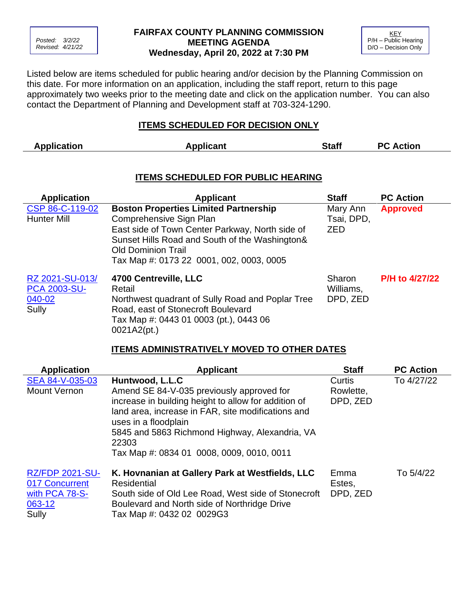

## **FAIRFAX COUNTY PLANNING COMMISSION MEETING AGENDA Wednesday, April 20, 2022 at 7:30 PM**



Listed below are items scheduled for public hearing and/or decision by the Planning Commission on this date. For more information on an application, including the staff report, return to this page approximately two weeks prior to the meeting date and click on the application number. You can also contact the Department of Planning and Development staff at 703-324-1290.

## **ITEMS SCHEDULED FOR DECISION ONLY**

| <b>Application</b>                                                                                                      | <b>Applicant</b>                                                                                                                                                                                                                                      | <b>Staff</b>                         | <b>PC Action</b> |  |  |
|-------------------------------------------------------------------------------------------------------------------------|-------------------------------------------------------------------------------------------------------------------------------------------------------------------------------------------------------------------------------------------------------|--------------------------------------|------------------|--|--|
| <b>ITEMS SCHEDULED FOR PUBLIC HEARING</b><br><b>PC Action</b><br><b>Application</b><br><b>Staff</b><br><b>Applicant</b> |                                                                                                                                                                                                                                                       |                                      |                  |  |  |
| CSP 86-C-119-02<br><b>Hunter Mill</b>                                                                                   | <b>Boston Properties Limited Partnership</b><br>Comprehensive Sign Plan<br>East side of Town Center Parkway, North side of<br>Sunset Hills Road and South of the Washington&<br><b>Old Dominion Trail</b><br>Tax Map #: 0173 22 0001, 002, 0003, 0005 | Mary Ann<br>Tsai, DPD,<br><b>ZED</b> | <b>Approved</b>  |  |  |
| RZ 2021-SU-013/<br><b>PCA 2003-SU-</b><br>$040 - 02$<br>Sully                                                           | 4700 Centreville, LLC<br>Retail<br>Northwest quadrant of Sully Road and Poplar Tree<br>Road, east of Stonecroft Boulevard<br>Tax Map #: 0443 01 0003 (pt.), 0443 06<br>0021A2(pt.)<br><b>ITEMS ADMINISTRATIVELY MOVED TO OTHER DATES</b>              | Sharon<br>Williams,<br>DPD, ZED      | P/H to 4/27/22   |  |  |

| <b>Application</b>                                                                | <b>Applicant</b>                                                                                                                                                                                                                                                                                           | <b>Staff</b>                    | <b>PC Action</b> |
|-----------------------------------------------------------------------------------|------------------------------------------------------------------------------------------------------------------------------------------------------------------------------------------------------------------------------------------------------------------------------------------------------------|---------------------------------|------------------|
| SEA 84-V-035-03<br><b>Mount Vernon</b>                                            | Huntwood, L.L.C<br>Amend SE 84-V-035 previously approved for<br>increase in building height to allow for addition of<br>land area, increase in FAR, site modifications and<br>uses in a floodplain<br>5845 and 5863 Richmond Highway, Alexandria, VA<br>22303<br>Tax Map #: 0834 01 0008, 0009, 0010, 0011 | Curtis<br>Rowlette,<br>DPD, ZED | To 4/27/22       |
| <b>RZ/FDP 2021-SU-</b><br>017 Concurrent<br>with PCA 78-S-<br>$063 - 12$<br>Sully | K. Hovnanian at Gallery Park at Westfields, LLC<br><b>Residential</b><br>South side of Old Lee Road, West side of Stonecroft<br>Boulevard and North side of Northridge Drive<br>Tax Map #: 0432 02 0029G3                                                                                                  | Emma<br>Estes,<br>DPD, ZED      | To 5/4/22        |